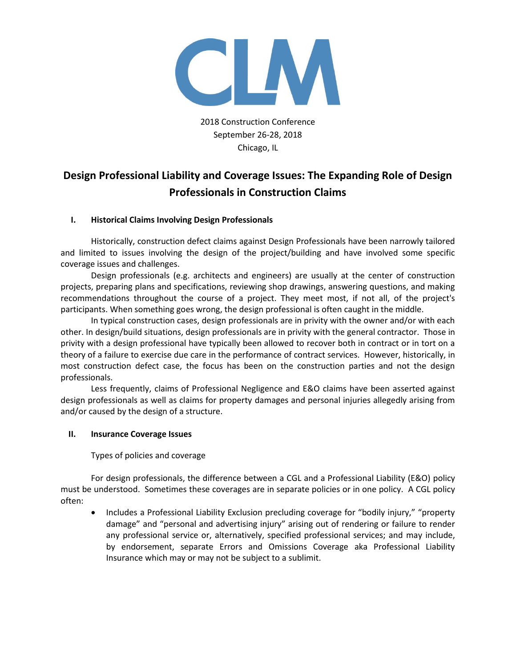

2018 Construction Conference September 26-28, 2018 Chicago, IL

# **Design Professional Liability and Coverage Issues: The Expanding Role of Design Professionals in Construction Claims**

## **I. Historical Claims Involving Design Professionals**

Historically, construction defect claims against Design Professionals have been narrowly tailored and limited to issues involving the design of the project/building and have involved some specific coverage issues and challenges.

Design professionals (e.g. architects and engineers) are usually at the center of construction projects, preparing plans and specifications, reviewing shop drawings, answering questions, and making recommendations throughout the course of a project. They meet most, if not all, of the project's participants. When something goes wrong, the design professional is often caught in the middle.

In typical construction cases, design professionals are in privity with the owner and/or with each other. In design/build situations, design professionals are in privity with the general contractor. Those in privity with a design professional have typically been allowed to recover both in contract or in tort on a theory of a failure to exercise due care in the performance of contract services. However, historically, in most construction defect case, the focus has been on the construction parties and not the design professionals.

Less frequently, claims of Professional Negligence and E&O claims have been asserted against design professionals as well as claims for property damages and personal injuries allegedly arising from and/or caused by the design of a structure.

## **II. Insurance Coverage Issues**

Types of policies and coverage

For design professionals, the difference between a CGL and a Professional Liability (E&O) policy must be understood. Sometimes these coverages are in separate policies or in one policy. A CGL policy often:

• Includes a Professional Liability Exclusion precluding coverage for "bodily injury," "property damage" and "personal and advertising injury" arising out of rendering or failure to render any professional service or, alternatively, specified professional services; and may include, by endorsement, separate Errors and Omissions Coverage aka Professional Liability Insurance which may or may not be subject to a sublimit.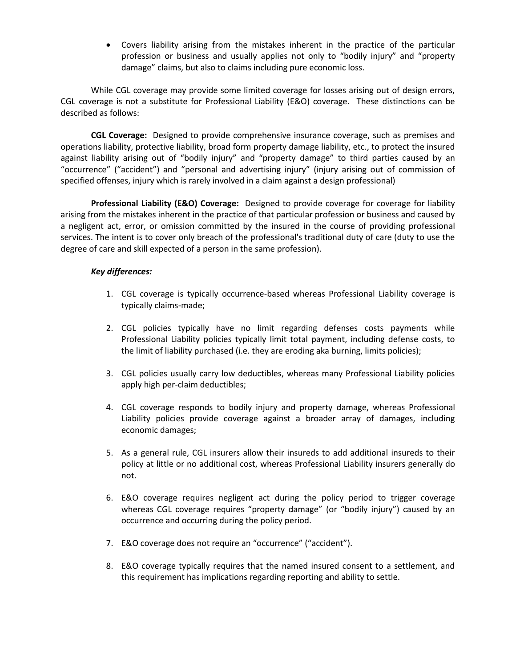• Covers liability arising from the mistakes inherent in the practice of the particular profession or business and usually applies not only to "bodily injury" and "property damage" claims, but also to claims including pure economic loss.

While CGL coverage may provide some limited coverage for losses arising out of design errors, CGL coverage is not a substitute for Professional Liability (E&O) coverage. These distinctions can be described as follows:

**CGL Coverage:** Designed to provide comprehensive insurance coverage, such as premises and operations liability, protective liability, broad form property damage liability, etc., to protect the insured against liability arising out of "bodily injury" and "property damage" to third parties caused by an "occurrence" ("accident") and "personal and advertising injury" (injury arising out of commission of specified offenses, injury which is rarely involved in a claim against a design professional)

**Professional Liability (E&O) Coverage:** Designed to provide coverage for coverage for liability arising from the mistakes inherent in the practice of that particular profession or business and caused by a negligent act, error, or omission committed by the insured in the course of providing professional services. The intent is to cover only breach of the professional's traditional duty of care (duty to use the degree of care and skill expected of a person in the same profession).

## *Key differences:*

- 1. CGL coverage is typically occurrence-based whereas Professional Liability coverage is typically claims-made;
- 2. CGL policies typically have no limit regarding defenses costs payments while Professional Liability policies typically limit total payment, including defense costs, to the limit of liability purchased (i.e. they are eroding aka burning, limits policies);
- 3. CGL policies usually carry low deductibles, whereas many Professional Liability policies apply high per-claim deductibles;
- 4. CGL coverage responds to bodily injury and property damage, whereas Professional Liability policies provide coverage against a broader array of damages, including economic damages;
- 5. As a general rule, CGL insurers allow their insureds to add additional insureds to their policy at little or no additional cost, whereas Professional Liability insurers generally do not.
- 6. E&O coverage requires negligent act during the policy period to trigger coverage whereas CGL coverage requires "property damage" (or "bodily injury") caused by an occurrence and occurring during the policy period.
- 7. E&O coverage does not require an "occurrence" ("accident").
- 8. E&O coverage typically requires that the named insured consent to a settlement, and this requirement has implications regarding reporting and ability to settle.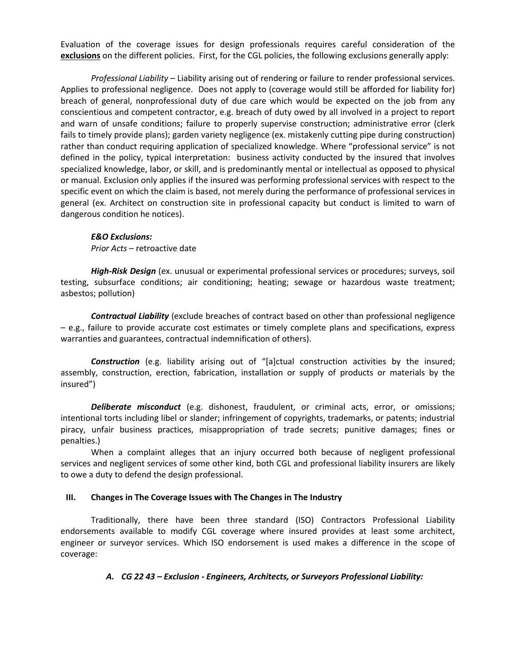Evaluation of the coverage issues for design professionals requires careful consideration of the **exclusions** on the different policies. First, for the CGL policies, the following exclusions generally apply:

*Professional Liability* – Liability arising out of rendering or failure to render professional services. Applies to professional negligence. Does not apply to (coverage would still be afforded for liability for) breach of general, nonprofessional duty of due care which would be expected on the job from any conscientious and competent contractor, e.g. breach of duty owed by all involved in a project to report and warn of unsafe conditions; failure to properly supervise construction; administrative error (clerk fails to timely provide plans); garden variety negligence (ex. mistakenly cutting pipe during construction) rather than conduct requiring application of specialized knowledge. Where "professional service" is not defined in the policy, typical interpretation: business activity conducted by the insured that involves specialized knowledge, labor, or skill, and is predominantly mental or intellectual as opposed to physical or manual. Exclusion only applies if the insured was performing professional services with respect to the specific event on which the claim is based, not merely during the performance of professional services in general (ex. Architect on construction site in professional capacity but conduct is limited to warn of dangerous condition he notices).

#### *E&O Exclusions:*

*Prior Acts* – retroactive date

*High-Risk Design* (ex. unusual or experimental professional services or procedures; surveys, soil testing, subsurface conditions; air conditioning; heating; sewage or hazardous waste treatment; asbestos; pollution)

*Contractual Liability* (exclude breaches of contract based on other than professional negligence – e.g., failure to provide accurate cost estimates or timely complete plans and specifications, express warranties and guarantees, contractual indemnification of others).

*Construction* (e.g. liability arising out of "[a]ctual construction activities by the insured; assembly, construction, erection, fabrication, installation or supply of products or materials by the insured")

*Deliberate misconduct* (e.g. dishonest, fraudulent, or criminal acts, error, or omissions; intentional torts including libel or slander; infringement of copyrights, trademarks, or patents; industrial piracy, unfair business practices, misappropriation of trade secrets; punitive damages; fines or penalties.)

When a complaint alleges that an injury occurred both because of negligent professional services and negligent services of some other kind, both CGL and professional liability insurers are likely to owe a duty to defend the design professional.

## **III. Changes in The Coverage Issues with The Changes in The Industry**

Traditionally, there have been three standard (ISO) Contractors Professional Liability endorsements available to modify CGL coverage where insured provides at least some architect, engineer or surveyor services. Which ISO endorsement is used makes a difference in the scope of coverage:

## *A. CG 22 43 – Exclusion - Engineers, Architects, or Surveyors Professional Liability:*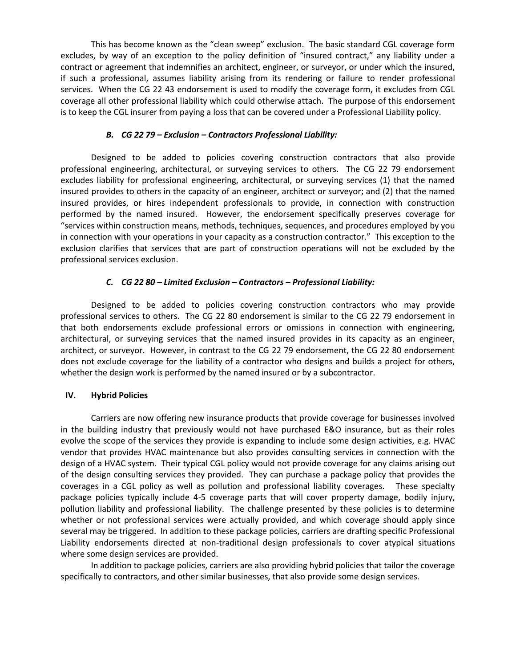This has become known as the "clean sweep" exclusion. The basic standard CGL coverage form excludes, by way of an exception to the policy definition of "insured contract," any liability under a contract or agreement that indemnifies an architect, engineer, or surveyor, or under which the insured, if such a professional, assumes liability arising from its rendering or failure to render professional services. When the CG 22 43 endorsement is used to modify the coverage form, it excludes from CGL coverage all other professional liability which could otherwise attach. The purpose of this endorsement is to keep the CGL insurer from paying a loss that can be covered under a Professional Liability policy.

## *B. CG 22 79 – Exclusion – Contractors Professional Liability:*

Designed to be added to policies covering construction contractors that also provide professional engineering, architectural, or surveying services to others. The CG 22 79 endorsement excludes liability for professional engineering, architectural, or surveying services (1) that the named insured provides to others in the capacity of an engineer, architect or surveyor; and (2) that the named insured provides, or hires independent professionals to provide, in connection with construction performed by the named insured. However, the endorsement specifically preserves coverage for "services within construction means, methods, techniques, sequences, and procedures employed by you in connection with your operations in your capacity as a construction contractor." This exception to the exclusion clarifies that services that are part of construction operations will not be excluded by the professional services exclusion.

## *C. CG 22 80 – Limited Exclusion – Contractors – Professional Liability:*

Designed to be added to policies covering construction contractors who may provide professional services to others. The CG 22 80 endorsement is similar to the CG 22 79 endorsement in that both endorsements exclude professional errors or omissions in connection with engineering, architectural, or surveying services that the named insured provides in its capacity as an engineer, architect, or surveyor. However, in contrast to the CG 22 79 endorsement, the CG 22 80 endorsement does not exclude coverage for the liability of a contractor who designs and builds a project for others, whether the design work is performed by the named insured or by a subcontractor.

#### **IV. Hybrid Policies**

Carriers are now offering new insurance products that provide coverage for businesses involved in the building industry that previously would not have purchased E&O insurance, but as their roles evolve the scope of the services they provide is expanding to include some design activities, e.g. HVAC vendor that provides HVAC maintenance but also provides consulting services in connection with the design of a HVAC system. Their typical CGL policy would not provide coverage for any claims arising out of the design consulting services they provided. They can purchase a package policy that provides the coverages in a CGL policy as well as pollution and professional liability coverages. These specialty package policies typically include 4-5 coverage parts that will cover property damage, bodily injury, pollution liability and professional liability. The challenge presented by these policies is to determine whether or not professional services were actually provided, and which coverage should apply since several may be triggered. In addition to these package policies, carriers are drafting specific Professional Liability endorsements directed at non-traditional design professionals to cover atypical situations where some design services are provided.

In addition to package policies, carriers are also providing hybrid policies that tailor the coverage specifically to contractors, and other similar businesses, that also provide some design services.